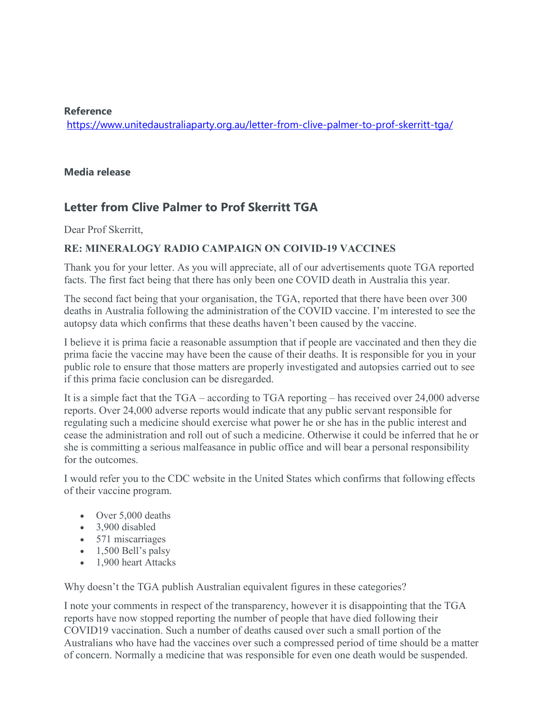## **Reference**

https://www.unitedaustraliaparty.org.au/letter-from-clive-palmer-to-prof-skerritt-tga/

## **Media release**

## **Letter from Clive Palmer to Prof Skerritt TGA**

Dear Prof Skerritt,

## **RE: MINERALOGY RADIO CAMPAIGN ON COIVID-19 VACCINES**

Thank you for your letter. As you will appreciate, all of our advertisements quote TGA reported facts. The first fact being that there has only been one COVID death in Australia this year.

The second fact being that your organisation, the TGA, reported that there have been over 300 deaths in Australia following the administration of the COVID vaccine. I'm interested to see the autopsy data which confirms that these deaths haven't been caused by the vaccine.

I believe it is prima facie a reasonable assumption that if people are vaccinated and then they die prima facie the vaccine may have been the cause of their deaths. It is responsible for you in your public role to ensure that those matters are properly investigated and autopsies carried out to see if this prima facie conclusion can be disregarded.

It is a simple fact that the TGA – according to TGA reporting – has received over 24,000 adverse reports. Over 24,000 adverse reports would indicate that any public servant responsible for regulating such a medicine should exercise what power he or she has in the public interest and cease the administration and roll out of such a medicine. Otherwise it could be inferred that he or she is committing a serious malfeasance in public office and will bear a personal responsibility for the outcomes.

I would refer you to the CDC website in the United States which confirms that following effects of their vaccine program.

- Over 5,000 deaths
- 3,900 disabled
- 571 miscarriages
- $\bullet$  1,500 Bell's palsy
- 1,900 heart Attacks

Why doesn't the TGA publish Australian equivalent figures in these categories?

I note your comments in respect of the transparency, however it is disappointing that the TGA reports have now stopped reporting the number of people that have died following their COVID19 vaccination. Such a number of deaths caused over such a small portion of the Australians who have had the vaccines over such a compressed period of time should be a matter of concern. Normally a medicine that was responsible for even one death would be suspended.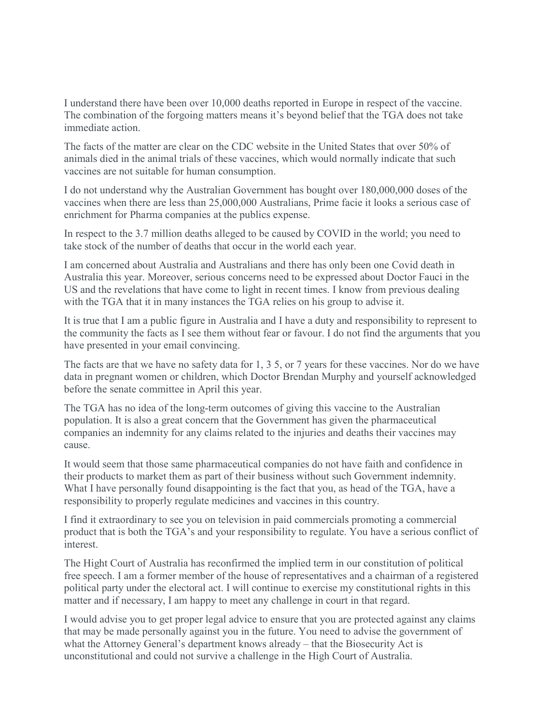I understand there have been over 10,000 deaths reported in Europe in respect of the vaccine. The combination of the forgoing matters means it's beyond belief that the TGA does not take immediate action.

The facts of the matter are clear on the CDC website in the United States that over 50% of animals died in the animal trials of these vaccines, which would normally indicate that such vaccines are not suitable for human consumption.

I do not understand why the Australian Government has bought over 180,000,000 doses of the vaccines when there are less than 25,000,000 Australians, Prime facie it looks a serious case of enrichment for Pharma companies at the publics expense.

In respect to the 3.7 million deaths alleged to be caused by COVID in the world; you need to take stock of the number of deaths that occur in the world each year.

I am concerned about Australia and Australians and there has only been one Covid death in Australia this year. Moreover, serious concerns need to be expressed about Doctor Fauci in the US and the revelations that have come to light in recent times. I know from previous dealing with the TGA that it in many instances the TGA relies on his group to advise it.

It is true that I am a public figure in Australia and I have a duty and responsibility to represent to the community the facts as I see them without fear or favour. I do not find the arguments that you have presented in your email convincing.

The facts are that we have no safety data for 1, 3 5, or 7 years for these vaccines. Nor do we have data in pregnant women or children, which Doctor Brendan Murphy and yourself acknowledged before the senate committee in April this year.

The TGA has no idea of the long-term outcomes of giving this vaccine to the Australian population. It is also a great concern that the Government has given the pharmaceutical companies an indemnity for any claims related to the injuries and deaths their vaccines may cause.

It would seem that those same pharmaceutical companies do not have faith and confidence in their products to market them as part of their business without such Government indemnity. What I have personally found disappointing is the fact that you, as head of the TGA, have a responsibility to properly regulate medicines and vaccines in this country.

I find it extraordinary to see you on television in paid commercials promoting a commercial product that is both the TGA's and your responsibility to regulate. You have a serious conflict of interest.

The Hight Court of Australia has reconfirmed the implied term in our constitution of political free speech. I am a former member of the house of representatives and a chairman of a registered political party under the electoral act. I will continue to exercise my constitutional rights in this matter and if necessary, I am happy to meet any challenge in court in that regard.

I would advise you to get proper legal advice to ensure that you are protected against any claims that may be made personally against you in the future. You need to advise the government of what the Attorney General's department knows already – that the Biosecurity Act is unconstitutional and could not survive a challenge in the High Court of Australia.